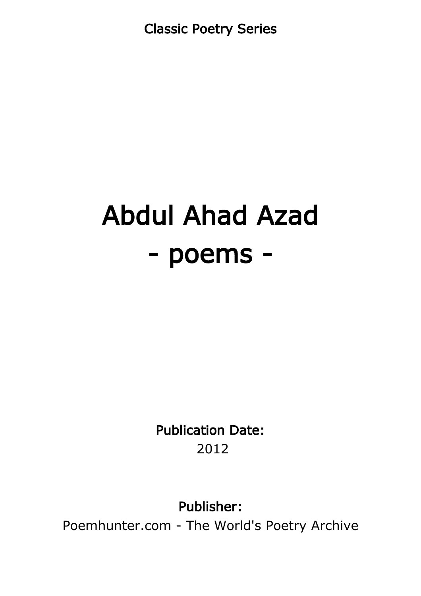Classic Poetry Series

## Abdul Ahad Azad - poems -

Publication Date: 2012

Publisher:

Poemhunter.com - The World's Poetry Archive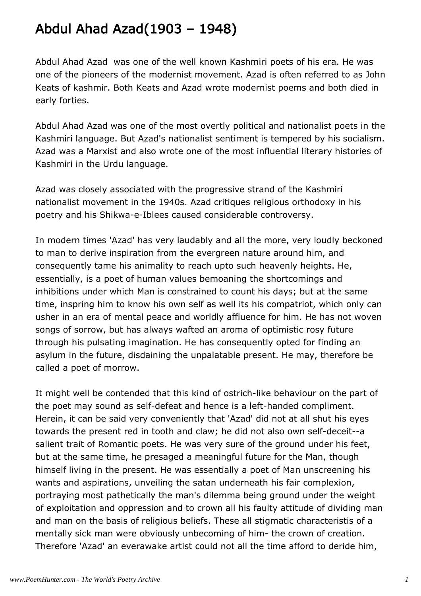## Abdul Ahad Azad(1903 – 1948)

Abdul Ahad Azad was one of the well known Kashmiri poets of his era. He was one of the pioneers of the modernist movement. Azad is often referred to as John Keats of kashmir. Both Keats and Azad wrote modernist poems and both died in early forties.

Abdul Ahad Azad was one of the most overtly political and nationalist poets in the Kashmiri language. But Azad's nationalist sentiment is tempered by his socialism. Azad was a Marxist and also wrote one of the most influential literary histories of Kashmiri in the Urdu language.

Azad was closely associated with the progressive strand of the Kashmiri nationalist movement in the 1940s. Azad critiques religious orthodoxy in his poetry and his Shikwa-e-Iblees caused considerable controversy.

In modern times 'Azad' has very laudably and all the more, very loudly beckoned to man to derive inspiration from the evergreen nature around him, and consequently tame his animality to reach upto such heavenly heights. He, essentially, is a poet of human values bemoaning the shortcomings and inhibitions under which Man is constrained to count his days; but at the same time, inspring him to know his own self as well its his compatriot, which only can usher in an era of mental peace and worldly affluence for him. He has not woven songs of sorrow, but has always wafted an aroma of optimistic rosy future through his pulsating imagination. He has consequently opted for finding an asylum in the future, disdaining the unpalatable present. He may, therefore be called a poet of morrow.

It might well be contended that this kind of ostrich-like behaviour on the part of the poet may sound as self-defeat and hence is a left-handed compliment. Herein, it can be said very conveniently that 'Azad' did not at all shut his eyes towards the present red in tooth and claw; he did not also own self-deceit--a salient trait of Romantic poets. He was very sure of the ground under his feet, but at the same time, he presaged a meaningful future for the Man, though himself living in the present. He was essentially a poet of Man unscreening his wants and aspirations, unveiling the satan underneath his fair complexion, portraying most pathetically the man's dilemma being ground under the weight of exploitation and oppression and to crown all his faulty attitude of dividing man and man on the basis of religious beliefs. These all stigmatic characteristis of a mentally sick man were obviously unbecoming of him- the crown of creation. Therefore 'Azad' an everawake artist could not all the time afford to deride him,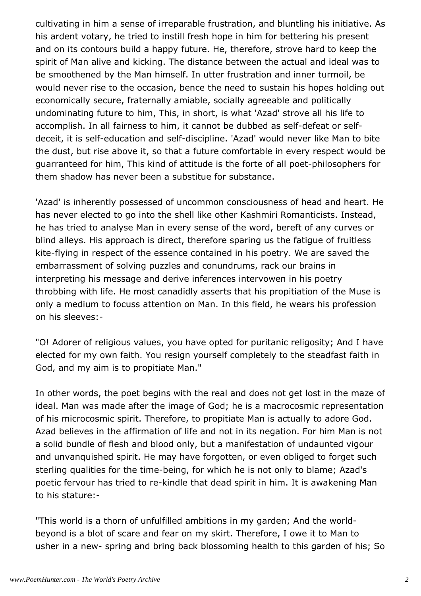cultivating in him a sense of irreparable frustration, and bluntling his initiative. As his ardent votary, he tried to instill fresh hope in him for bettering his present and on its contours build a happy future. He, therefore, strove hard to keep the spirit of Man alive and kicking. The distance between the actual and ideal was to be smoothened by the Man himself. In utter frustration and inner turmoil, be would never rise to the occasion, bence the need to sustain his hopes holding out economically secure, fraternally amiable, socially agreeable and politically undominating future to him, This, in short, is what 'Azad' strove all his life to accomplish. In all fairness to him, it cannot be dubbed as self-defeat or selfdeceit, it is self-education and self-discipline. 'Azad' would never like Man to bite the dust, but rise above it, so that a future comfortable in every respect would be guarranteed for him, This kind of attitude is the forte of all poet-philosophers for them shadow has never been a substitue for substance.

'Azad' is inherently possessed of uncommon consciousness of head and heart. He has never elected to go into the shell like other Kashmiri Romanticists. Instead, he has tried to analyse Man in every sense of the word, bereft of any curves or blind alleys. His approach is direct, therefore sparing us the fatigue of fruitless kite-flying in respect of the essence contained in his poetry. We are saved the embarrassment of solving puzzles and conundrums, rack our brains in interpreting his message and derive inferences intervowen in his poetry throbbing with life. He most canadidly asserts that his propitiation of the Muse is only a medium to focuss attention on Man. In this field, he wears his profession on his sleeves:-

"O! Adorer of religious values, you have opted for puritanic religosity; And I have elected for my own faith. You resign yourself completely to the steadfast faith in God, and my aim is to propitiate Man."

In other words, the poet begins with the real and does not get lost in the maze of ideal. Man was made after the image of God; he is a macrocosmic representation of his microcosmic spirit. Therefore, to propitiate Man is actually to adore God. Azad believes in the affirmation of life and not in its negation. For him Man is not a solid bundle of flesh and blood only, but a manifestation of undaunted vigour and unvanquished spirit. He may have forgotten, or even obliged to forget such sterling qualities for the time-being, for which he is not only to blame; Azad's poetic fervour has tried to re-kindle that dead spirit in him. It is awakening Man to his stature:-

"This world is a thorn of unfulfilled ambitions in my garden; And the worldbeyond is a blot of scare and fear on my skirt. Therefore, I owe it to Man to usher in a new- spring and bring back blossoming health to this garden of his; So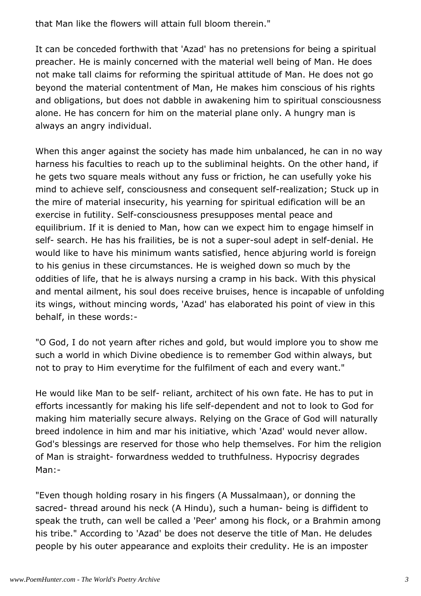that Man like the flowers will attain full bloom therein."

It can be conceded forthwith that 'Azad' has no pretensions for being a spiritual preacher. He is mainly concerned with the material well being of Man. He does not make tall claims for reforming the spiritual attitude of Man. He does not go beyond the material contentment of Man, He makes him conscious of his rights and obligations, but does not dabble in awakening him to spiritual consciousness alone. He has concern for him on the material plane only. A hungry man is always an angry individual.

When this anger against the society has made him unbalanced, he can in no way harness his faculties to reach up to the subliminal heights. On the other hand, if he gets two square meals without any fuss or friction, he can usefully yoke his mind to achieve self, consciousness and consequent self-realization; Stuck up in the mire of material insecurity, his yearning for spiritual edification will be an exercise in futility. Self-consciousness presupposes mental peace and equilibrium. If it is denied to Man, how can we expect him to engage himself in self- search. He has his frailities, be is not a super-soul adept in self-denial. He would like to have his minimum wants satisfied, hence abjuring world is foreign to his genius in these circumstances. He is weighed down so much by the oddities of life, that he is always nursing a cramp in his back. With this physical and mental ailment, his soul does receive bruises, hence is incapable of unfolding its wings, without mincing words, 'Azad' has elaborated his point of view in this behalf, in these words:-

"O God, I do not yearn after riches and gold, but would implore you to show me such a world in which Divine obedience is to remember God within always, but not to pray to Him everytime for the fulfilment of each and every want."

He would like Man to be self- reliant, architect of his own fate. He has to put in efforts incessantly for making his life self-dependent and not to look to God for making him materially secure always. Relying on the Grace of God will naturally breed indolence in him and mar his initiative, which 'Azad' would never allow. God's blessings are reserved for those who help themselves. For him the religion of Man is straight- forwardness wedded to truthfulness. Hypocrisy degrades Man:-

"Even though holding rosary in his fingers (A Mussalmaan), or donning the sacred- thread around his neck (A Hindu), such a human- being is diffident to speak the truth, can well be called a 'Peer' among his flock, or a Brahmin among his tribe." According to 'Azad' be does not deserve the title of Man. He deludes people by his outer appearance and exploits their credulity. He is an imposter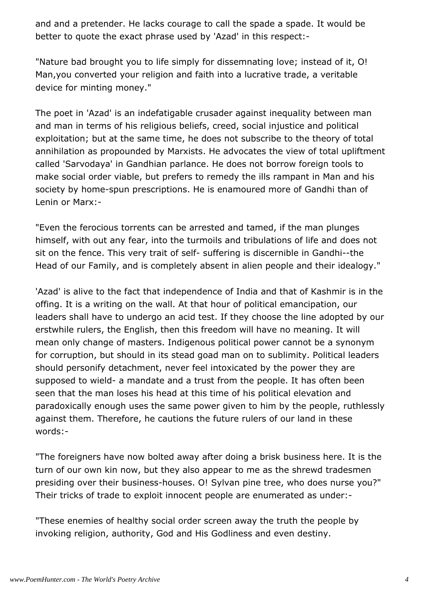and and a pretender. He lacks courage to call the spade a spade. It would be better to quote the exact phrase used by 'Azad' in this respect:-

"Nature bad brought you to life simply for dissemnating love; instead of it, O! Man,you converted your religion and faith into a lucrative trade, a veritable device for minting money."

The poet in 'Azad' is an indefatigable crusader against inequality between man and man in terms of his religious beliefs, creed, social injustice and political exploitation; but at the same time, he does not subscribe to the theory of total annihilation as propounded by Marxists. He advocates the view of total upliftment called 'Sarvodaya' in Gandhian parlance. He does not borrow foreign tools to make social order viable, but prefers to remedy the ills rampant in Man and his society by home-spun prescriptions. He is enamoured more of Gandhi than of Lenin or Marx:-

"Even the ferocious torrents can be arrested and tamed, if the man plunges himself, with out any fear, into the turmoils and tribulations of life and does not sit on the fence. This very trait of self- suffering is discernible in Gandhi--the Head of our Family, and is completely absent in alien people and their idealogy."

'Azad' is alive to the fact that independence of India and that of Kashmir is in the offing. It is a writing on the wall. At that hour of political emancipation, our leaders shall have to undergo an acid test. If they choose the line adopted by our erstwhile rulers, the English, then this freedom will have no meaning. It will mean only change of masters. Indigenous political power cannot be a synonym for corruption, but should in its stead goad man on to sublimity. Political leaders should personify detachment, never feel intoxicated by the power they are supposed to wield- a mandate and a trust from the people. It has often been seen that the man loses his head at this time of his political elevation and paradoxically enough uses the same power given to him by the people, ruthlessly against them. Therefore, he cautions the future rulers of our land in these words:-

"The foreigners have now bolted away after doing a brisk business here. It is the turn of our own kin now, but they also appear to me as the shrewd tradesmen presiding over their business-houses. O! Sylvan pine tree, who does nurse you?" Their tricks of trade to exploit innocent people are enumerated as under:-

"These enemies of healthy social order screen away the truth the people by invoking religion, authority, God and His Godliness and even destiny.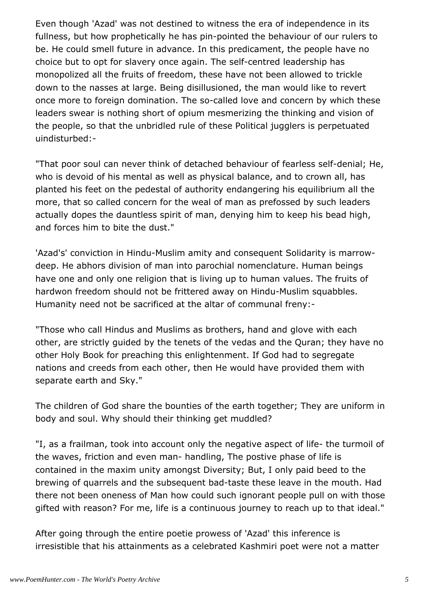Even though 'Azad' was not destined to witness the era of independence in its fullness, but how prophetically he has pin-pointed the behaviour of our rulers to be. He could smell future in advance. In this predicament, the people have no choice but to opt for slavery once again. The self-centred leadership has monopolized all the fruits of freedom, these have not been allowed to trickle down to the nasses at large. Being disillusioned, the man would like to revert once more to foreign domination. The so-called love and concern by which these leaders swear is nothing short of opium mesmerizing the thinking and vision of the people, so that the unbridled rule of these Political jugglers is perpetuated uindisturbed:-

"That poor soul can never think of detached behaviour of fearless self-denial; He, who is devoid of his mental as well as physical balance, and to crown all, has planted his feet on the pedestal of authority endangering his equilibrium all the more, that so called concern for the weal of man as prefossed by such leaders actually dopes the dauntless spirit of man, denying him to keep his bead high, and forces him to bite the dust."

'Azad's' conviction in Hindu-Muslim amity and consequent Solidarity is marrowdeep. He abhors division of man into parochial nomenclature. Human beings have one and only one religion that is living up to human values. The fruits of hardwon freedom should not be frittered away on Hindu-Muslim squabbles. Humanity need not be sacrificed at the altar of communal freny:-

"Those who call Hindus and Muslims as brothers, hand and glove with each other, are strictly guided by the tenets of the vedas and the Quran; they have no other Holy Book for preaching this enlightenment. If God had to segregate nations and creeds from each other, then He would have provided them with separate earth and Sky."

The children of God share the bounties of the earth together; They are uniform in body and soul. Why should their thinking get muddled?

"I, as a frailman, took into account only the negative aspect of life- the turmoil of the waves, friction and even man- handling, The postive phase of life is contained in the maxim unity amongst Diversity; But, I only paid beed to the brewing of quarrels and the subsequent bad-taste these leave in the mouth. Had there not been oneness of Man how could such ignorant people pull on with those gifted with reason? For me, life is a continuous journey to reach up to that ideal."

After going through the entire poetie prowess of 'Azad' this inference is irresistible that his attainments as a celebrated Kashmiri poet were not a matter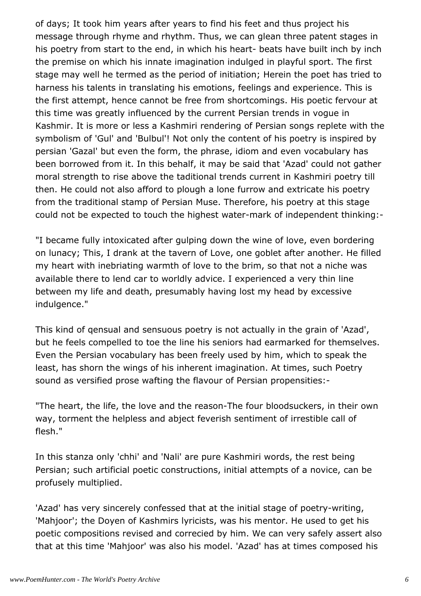of days; It took him years after years to find his feet and thus project his message through rhyme and rhythm. Thus, we can glean three patent stages in his poetry from start to the end, in which his heart- beats have built inch by inch the premise on which his innate imagination indulged in playful sport. The first stage may well he termed as the period of initiation; Herein the poet has tried to harness his talents in translating his emotions, feelings and experience. This is the first attempt, hence cannot be free from shortcomings. His poetic fervour at this time was greatly influenced by the current Persian trends in vogue in Kashmir. It is more or less a Kashmiri rendering of Persian songs replete with the symbolism of 'Gul' and 'Bulbul'! Not only the content of his poetry is inspired by persian 'Gazal' but even the form, the phrase, idiom and even vocabulary has been borrowed from it. In this behalf, it may be said that 'Azad' could not gather moral strength to rise above the taditional trends current in Kashmiri poetry till then. He could not also afford to plough a lone furrow and extricate his poetry from the traditional stamp of Persian Muse. Therefore, his poetry at this stage could not be expected to touch the highest water-mark of independent thinking:-

"I became fully intoxicated after gulping down the wine of love, even bordering on lunacy; This, I drank at the tavern of Love, one goblet after another. He filled my heart with inebriating warmth of love to the brim, so that not a niche was available there to lend car to worldly advice. I experienced a very thin line between my life and death, presumably having lost my head by excessive indulgence."

This kind of qensual and sensuous poetry is not actually in the grain of 'Azad', but he feels compelled to toe the line his seniors had earmarked for themselves. Even the Persian vocabulary has been freely used by him, which to speak the least, has shorn the wings of his inherent imagination. At times, such Poetry sound as versified prose wafting the flavour of Persian propensities:-

"The heart, the life, the love and the reason-The four bloodsuckers, in their own way, torment the helpless and abject feverish sentiment of irrestible call of flesh."

In this stanza only 'chhi' and 'Nali' are pure Kashmiri words, the rest being Persian; such artificial poetic constructions, initial attempts of a novice, can be profusely multiplied.

'Azad' has very sincerely confessed that at the initial stage of poetry-writing, 'Mahjoor'; the Doyen of Kashmirs lyricists, was his mentor. He used to get his poetic compositions revised and correcied by him. We can very safely assert also that at this time 'Mahjoor' was also his model. 'Azad' has at times composed his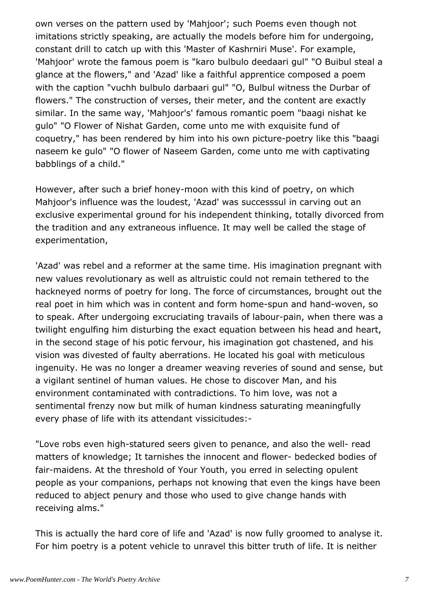own verses on the pattern used by 'Mahjoor'; such Poems even though not imitations strictly speaking, are actually the models before him for undergoing, constant drill to catch up with this 'Master of Kashrniri Muse'. For example, 'Mahjoor' wrote the famous poem is "karo bulbulo deedaari gul" "O Buibul steal a glance at the flowers," and 'Azad' like a faithful apprentice composed a poem with the caption "vuchh bulbulo darbaari gul" "O, Bulbul witness the Durbar of flowers." The construction of verses, their meter, and the content are exactly similar. In the same way, 'Mahjoor's' famous romantic poem "baagi nishat ke gulo" "O Flower of Nishat Garden, come unto me with exquisite fund of coquetry," has been rendered by him into his own picture-poetry like this "baagi naseem ke gulo" "O flower of Naseem Garden, come unto me with captivating babblings of a child."

However, after such a brief honey-moon with this kind of poetry, on which Mahjoor's influence was the loudest, 'Azad' was successsul in carving out an exclusive experimental ground for his independent thinking, totally divorced from the tradition and any extraneous influence. It may well be called the stage of experimentation,

'Azad' was rebel and a reformer at the same time. His imagination pregnant with new values revolutionary as well as altruistic could not remain tethered to the hackneyed norms of poetry for long. The force of circumstances, brought out the real poet in him which was in content and form home-spun and hand-woven, so to speak. After undergoing excruciating travails of labour-pain, when there was a twilight engulfing him disturbing the exact equation between his head and heart, in the second stage of his potic fervour, his imagination got chastened, and his vision was divested of faulty aberrations. He located his goal with meticulous ingenuity. He was no longer a dreamer weaving reveries of sound and sense, but a vigilant sentinel of human values. He chose to discover Man, and his environment contaminated with contradictions. To him love, was not a sentimental frenzy now but milk of human kindness saturating meaningfully every phase of life with its attendant vissicitudes:-

"Love robs even high-statured seers given to penance, and also the well- read matters of knowledge; It tarnishes the innocent and flower- bedecked bodies of fair-maidens. At the threshold of Your Youth, you erred in selecting opulent people as your companions, perhaps not knowing that even the kings have been reduced to abject penury and those who used to give change hands with receiving alms."

This is actually the hard core of life and 'Azad' is now fully groomed to analyse it. For him poetry is a potent vehicle to unravel this bitter truth of life. It is neither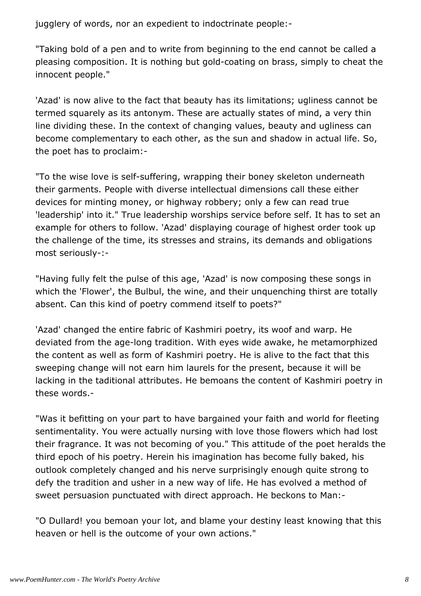jugglery of words, nor an expedient to indoctrinate people:-

"Taking bold of a pen and to write from beginning to the end cannot be called a pleasing composition. It is nothing but gold-coating on brass, simply to cheat the innocent people."

'Azad' is now alive to the fact that beauty has its limitations; ugliness cannot be termed squarely as its antonym. These are actually states of mind, a very thin line dividing these. In the context of changing values, beauty and ugliness can become complementary to each other, as the sun and shadow in actual life. So, the poet has to proclaim:-

"To the wise love is self-suffering, wrapping their boney skeleton underneath their garments. People with diverse intellectual dimensions call these either devices for minting money, or highway robbery; only a few can read true 'leadership' into it." True leadership worships service before self. It has to set an example for others to follow. 'Azad' displaying courage of highest order took up the challenge of the time, its stresses and strains, its demands and obligations most seriously-:-

"Having fully felt the pulse of this age, 'Azad' is now composing these songs in which the 'Flower', the Bulbul, the wine, and their unquenching thirst are totally absent. Can this kind of poetry commend itself to poets?"

'Azad' changed the entire fabric of Kashmiri poetry, its woof and warp. He deviated from the age-long tradition. With eyes wide awake, he metamorphized the content as well as form of Kashmiri poetry. He is alive to the fact that this sweeping change will not earn him laurels for the present, because it will be lacking in the taditional attributes. He bemoans the content of Kashmiri poetry in these words.-

"Was it befitting on your part to have bargained your faith and world for fleeting sentimentality. You were actually nursing with love those flowers which had lost their fragrance. It was not becoming of you." This attitude of the poet heralds the third epoch of his poetry. Herein his imagination has become fully baked, his outlook completely changed and his nerve surprisingly enough quite strong to defy the tradition and usher in a new way of life. He has evolved a method of sweet persuasion punctuated with direct approach. He beckons to Man:-

"O Dullard! you bemoan your lot, and blame your destiny least knowing that this heaven or hell is the outcome of your own actions."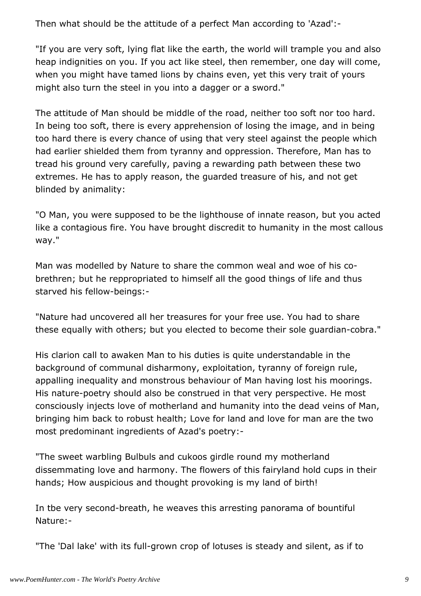Then what should be the attitude of a perfect Man according to 'Azad':-

"If you are very soft, lying flat like the earth, the world will trample you and also heap indignities on you. If you act like steel, then remember, one day will come, when you might have tamed lions by chains even, yet this very trait of yours might also turn the steel in you into a dagger or a sword."

The attitude of Man should be middle of the road, neither too soft nor too hard. In being too soft, there is every apprehension of losing the image, and in being too hard there is every chance of using that very steel against the people which had earlier shielded them from tyranny and oppression. Therefore, Man has to tread his ground very carefully, paving a rewarding path between these two extremes. He has to apply reason, the guarded treasure of his, and not get blinded by animality:

"O Man, you were supposed to be the lighthouse of innate reason, but you acted like a contagious fire. You have brought discredit to humanity in the most callous way."

Man was modelled by Nature to share the common weal and woe of his cobrethren; but he reppropriated to himself all the good things of life and thus starved his fellow-beings:-

"Nature had uncovered all her treasures for your free use. You had to share these equally with others; but you elected to become their sole guardian-cobra."

His clarion call to awaken Man to his duties is quite understandable in the background of communal disharmony, exploitation, tyranny of foreign rule, appalling inequality and monstrous behaviour of Man having lost his moorings. His nature-poetry should also be construed in that very perspective. He most consciously injects love of motherland and humanity into the dead veins of Man, bringing him back to robust health; Love for land and love for man are the two most predominant ingredients of Azad's poetry:-

"The sweet warbling Bulbuls and cukoos girdle round my motherland dissemmating love and harmony. The flowers of this fairyland hold cups in their hands; How auspicious and thought provoking is my land of birth!

In tbe very second-breath, he weaves this arresting panorama of bountiful Nature:-

"The 'Dal lake' with its full-grown crop of lotuses is steady and silent, as if to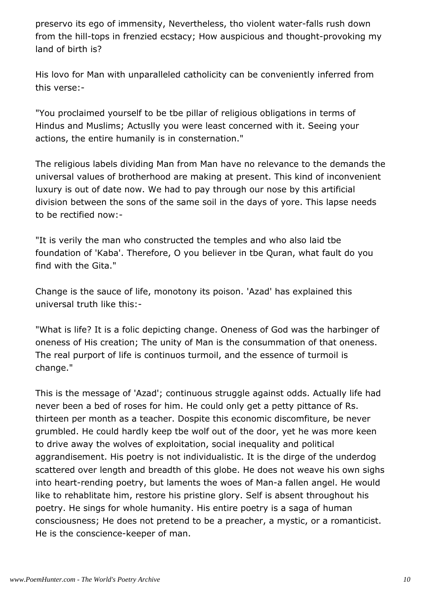preservo its ego of immensity, Nevertheless, tho violent water-falls rush down from the hill-tops in frenzied ecstacy; How auspicious and thought-provoking my land of birth is?

His lovo for Man with unparalleled catholicity can be conveniently inferred from this verse:-

"You proclaimed yourself to be tbe pillar of religious obligations in terms of Hindus and Muslims; Actuslly you were least concerned with it. Seeing your actions, the entire humanily is in consternation."

The religious labels dividing Man from Man have no relevance to the demands the universal values of brotherhood are making at present. This kind of inconvenient luxury is out of date now. We had to pay through our nose by this artificial division between the sons of the same soil in the days of yore. This lapse needs to be rectified now:-

"It is verily the man who constructed the temples and who also laid tbe foundation of 'Kaba'. Therefore, O you believer in tbe Quran, what fault do you find with the Gita."

Change is the sauce of life, monotony its poison. 'Azad' has explained this universal truth like this:-

"What is life? It is a folic depicting change. Oneness of God was the harbinger of oneness of His creation; The unity of Man is the consummation of that oneness. The real purport of life is continuos turmoil, and the essence of turmoil is change."

This is the message of 'Azad'; continuous struggle against odds. Actually life had never been a bed of roses for him. He could only get a petty pittance of Rs. thirteen per month as a teacher. Dospite this economic discomfiture, be never grumbled. He could hardly keep tbe wolf out of the door, yet he was more keen to drive away the wolves of exploitation, social inequality and political aggrandisement. His poetry is not individualistic. It is the dirge of the underdog scattered over length and breadth of this globe. He does not weave his own sighs into heart-rending poetry, but laments the woes of Man-a fallen angel. He would like to rehablitate him, restore his pristine glory. Self is absent throughout his poetry. He sings for whole humanity. His entire poetry is a saga of human consciousness; He does not pretend to be a preacher, a mystic, or a romanticist. He is the conscience-keeper of man.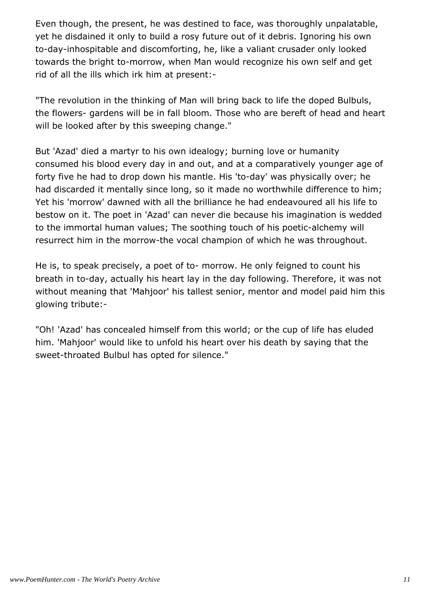Even though, the present, he was destined to face, was thoroughly unpalatable, yet he disdained it only to build a rosy future out of it debris. Ignoring his own to-day-inhospitable and discomforting, he, like a valiant crusader only looked towards the bright to-morrow, when Man would recognize his own self and get rid of all the ills which irk him at present:-

"The revolution in the thinking of Man will bring back to life the doped Bulbuls, the flowers- gardens will be in fall bloom. Those who are bereft of head and heart will be looked after by this sweeping change."

But 'Azad' died a martyr to his own idealogy; burning love or humanity consumed his blood every day in and out, and at a comparatively younger age of forty five he had to drop down his mantle. His 'to-day' was physically over; he had discarded it mentally since long, so it made no worthwhile difference to him; Yet his 'morrow' dawned with all the brilliance he had endeavoured all his life to bestow on it. The poet in 'Azad' can never die because his imagination is wedded to the immortal human values; The soothing touch of his poetic-alchemy will resurrect him in the morrow-the vocal champion of which he was throughout.

He is, to speak precisely, a poet of to- morrow. He only feigned to count his breath in to-day, actually his heart lay in the day following. Therefore, it was not without meaning that 'Mahjoor' his tallest senior, mentor and model paid him this glowing tribute:-

"Oh! 'Azad' has concealed himself from this world; or the cup of life has eluded him. 'Mahjoor' would like to unfold his heart over his death by saying that the sweet-throated Bulbul has opted for silence."